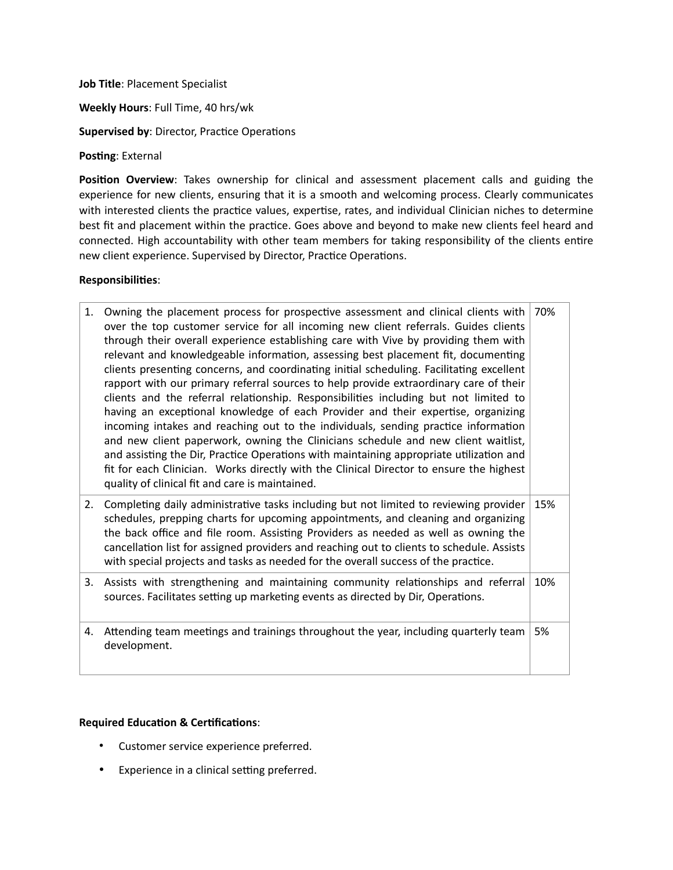**Job Title**: Placement Specialist

**Weekly Hours**: Full Time, 40 hrs/wk

**Supervised by**: Director, Practice Operations

**Posting**: External

**Position Overview**: Takes ownership for clinical and assessment placement calls and guiding the experience for new clients, ensuring that it is a smooth and welcoming process. Clearly communicates with interested clients the practice values, expertise, rates, and individual Clinician niches to determine best fit and placement within the practice. Goes above and beyond to make new clients feel heard and connected. High accountability with other team members for taking responsibility of the clients entire new client experience. Supervised by Director, Practice Operations.

## **Responsibilities**:

1. Owning the placement process for prospective assessment and clinical clients with over the top customer service for all incoming new client referrals. Guides clients through their overall experience establishing care with Vive by providing them with relevant and knowledgeable information, assessing best placement fit, documenting clients presenting concerns, and coordinating initial scheduling. Facilitating excellent rapport with our primary referral sources to help provide extraordinary care of their clients and the referral relationship. Responsibilities including but not limited to having an exceptional knowledge of each Provider and their expertise, organizing incoming intakes and reaching out to the individuals, sending practice information and new client paperwork, owning the Clinicians schedule and new client waitlist, and assisting the Dir, Practice Operations with maintaining appropriate utilization and fit for each Clinician. Works directly with the Clinical Director to ensure the highest quality of clinical fit and care is maintained. 70% 2. Completing daily administrative tasks including but not limited to reviewing provider schedules, prepping charts for upcoming appointments, and cleaning and organizing the back office and file room. Assisting Providers as needed as well as owning the cancellation list for assigned providers and reaching out to clients to schedule. Assists with special projects and tasks as needed for the overall success of the practice. 15% 3. Assists with strengthening and maintaining community relationships and referral sources. Facilitates setting up marketing events as directed by Dir, Operations. 10% 4. Attending team meetings and trainings throughout the year, including quarterly team development. 5%

## **Required Education & Certifications**:

- Customer service experience preferred.
- Experience in a clinical setting preferred.